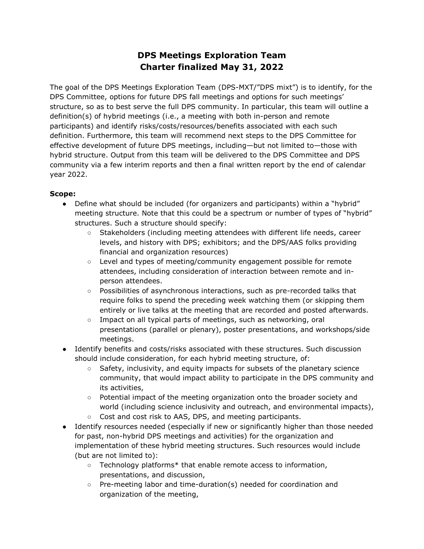## **DPS Meetings Exploration Team Charter finalized May 31, 2022**

The goal of the DPS Meetings Exploration Team (DPS-MXT/"DPS mixt") is to identify, for the DPS Committee, options for future DPS fall meetings and options for such meetings' structure, so as to best serve the full DPS community. In particular, this team will outline a definition(s) of hybrid meetings (i.e., a meeting with both in-person and remote participants) and identify risks/costs/resources/benefits associated with each such definition. Furthermore, this team will recommend next steps to the DPS Committee for effective development of future DPS meetings, including—but not limited to—those with hybrid structure. Output from this team will be delivered to the DPS Committee and DPS community via a few interim reports and then a final written report by the end of calendar year 2022.

## **Scope:**

- Define what should be included (for organizers and participants) within a "hybrid" meeting structure. Note that this could be a spectrum or number of types of "hybrid" structures. Such a structure should specify:
	- Stakeholders (including meeting attendees with different life needs, career levels, and history with DPS; exhibitors; and the DPS/AAS folks providing financial and organization resources)
	- Level and types of meeting/community engagement possible for remote attendees, including consideration of interaction between remote and inperson attendees.
	- Possibilities of asynchronous interactions, such as pre-recorded talks that require folks to spend the preceding week watching them (or skipping them entirely or live talks at the meeting that are recorded and posted afterwards.
	- Impact on all typical parts of meetings, such as networking, oral presentations (parallel or plenary), poster presentations, and workshops/side meetings.
- Identify benefits and costs/risks associated with these structures. Such discussion should include consideration, for each hybrid meeting structure, of:
	- Safety, inclusivity, and equity impacts for subsets of the planetary science community, that would impact ability to participate in the DPS community and its activities,
	- Potential impact of the meeting organization onto the broader society and world (including science inclusivity and outreach, and environmental impacts),
	- Cost and cost risk to AAS, DPS, and meeting participants.
- Identify resources needed (especially if new or significantly higher than those needed for past, non-hybrid DPS meetings and activities) for the organization and implementation of these hybrid meeting structures. Such resources would include (but are not limited to):
	- Technology platforms\* that enable remote access to information, presentations, and discussion,
	- Pre-meeting labor and time-duration(s) needed for coordination and organization of the meeting,